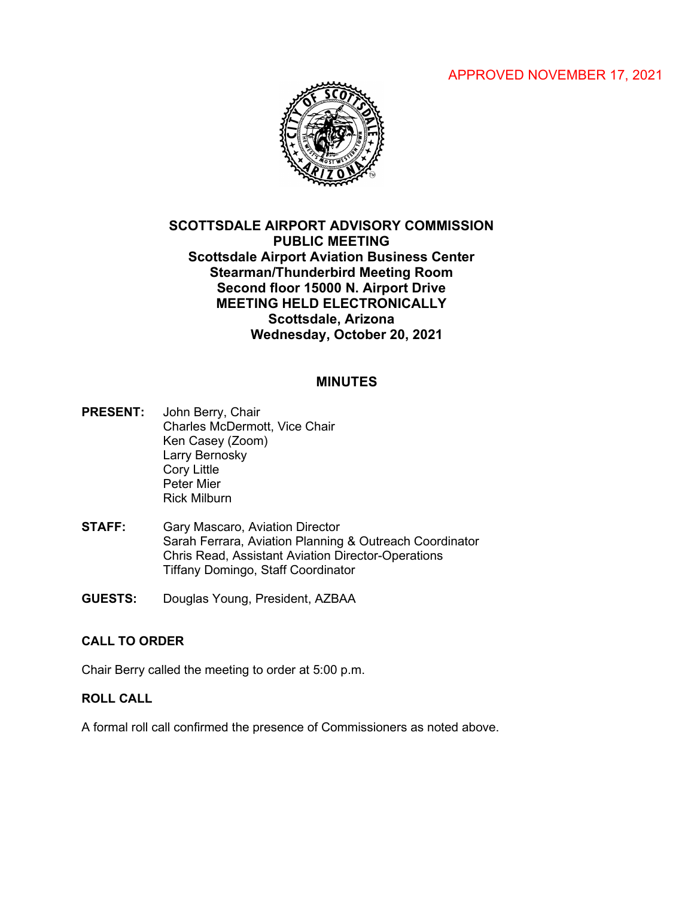# APPROVED NOVEMBER 17, 2021



# **SCOTTSDALE AIRPORT ADVISORY COMMISSION PUBLIC MEETING Scottsdale Airport Aviation Business Center Stearman/Thunderbird Meeting Room Second floor 15000 N. Airport Drive MEETING HELD ELECTRONICALLY Scottsdale, Arizona Wednesday, October 20, 2021**

### **MINUTES**

- **PRESENT:** John Berry, Chair Charles McDermott, Vice Chair Ken Casey (Zoom) Larry Bernosky Cory Little Peter Mier Rick Milburn
- **STAFF:** Gary Mascaro, Aviation Director Sarah Ferrara, Aviation Planning & Outreach Coordinator Chris Read, Assistant Aviation Director-Operations Tiffany Domingo, Staff Coordinator
- **GUESTS:** Douglas Young, President, AZBAA

### **CALL TO ORDER**

Chair Berry called the meeting to order at 5:00 p.m.

# **ROLL CALL**

A formal roll call confirmed the presence of Commissioners as noted above.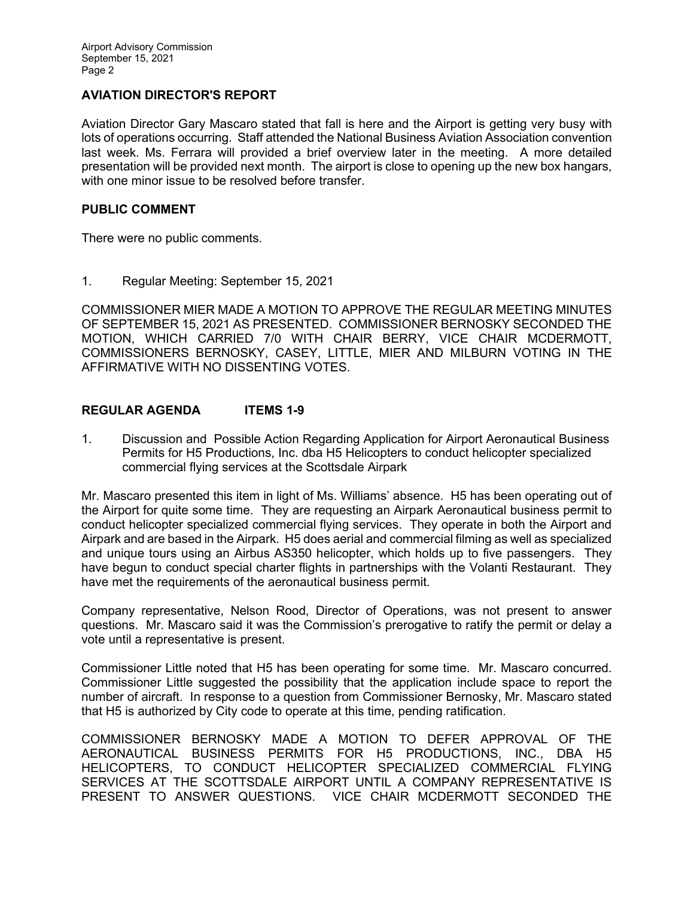## **AVIATION DIRECTOR'S REPORT**

Aviation Director Gary Mascaro stated that fall is here and the Airport is getting very busy with lots of operations occurring. Staff attended the National Business Aviation Association convention last week. Ms. Ferrara will provided a brief overview later in the meeting. A more detailed presentation will be provided next month. The airport is close to opening up the new box hangars, with one minor issue to be resolved before transfer.

### **PUBLIC COMMENT**

There were no public comments.

1. Regular Meeting: September 15, 2021

COMMISSIONER MIER MADE A MOTION TO APPROVE THE REGULAR MEETING MINUTES OF SEPTEMBER 15, 2021 AS PRESENTED. COMMISSIONER BERNOSKY SECONDED THE MOTION, WHICH CARRIED 7/0 WITH CHAIR BERRY, VICE CHAIR MCDERMOTT, COMMISSIONERS BERNOSKY, CASEY, LITTLE, MIER AND MILBURN VOTING IN THE AFFIRMATIVE WITH NO DISSENTING VOTES.

## **REGULAR AGENDA ITEMS 1-9**

1. Discussion and Possible Action Regarding Application for Airport Aeronautical Business Permits for H5 Productions, Inc. dba H5 Helicopters to conduct helicopter specialized commercial flying services at the Scottsdale Airpark

Mr. Mascaro presented this item in light of Ms. Williams' absence. H5 has been operating out of the Airport for quite some time. They are requesting an Airpark Aeronautical business permit to conduct helicopter specialized commercial flying services. They operate in both the Airport and Airpark and are based in the Airpark. H5 does aerial and commercial filming as well as specialized and unique tours using an Airbus AS350 helicopter, which holds up to five passengers. They have begun to conduct special charter flights in partnerships with the Volanti Restaurant. They have met the requirements of the aeronautical business permit.

Company representative, Nelson Rood, Director of Operations, was not present to answer questions. Mr. Mascaro said it was the Commission's prerogative to ratify the permit or delay a vote until a representative is present.

Commissioner Little noted that H5 has been operating for some time. Mr. Mascaro concurred. Commissioner Little suggested the possibility that the application include space to report the number of aircraft. In response to a question from Commissioner Bernosky, Mr. Mascaro stated that H5 is authorized by City code to operate at this time, pending ratification.

COMMISSIONER BERNOSKY MADE A MOTION TO DEFER APPROVAL OF THE AERONAUTICAL BUSINESS PERMITS FOR H5 PRODUCTIONS, INC., DBA H5 HELICOPTERS, TO CONDUCT HELICOPTER SPECIALIZED COMMERCIAL FLYING SERVICES AT THE SCOTTSDALE AIRPORT UNTIL A COMPANY REPRESENTATIVE IS PRESENT TO ANSWER QUESTIONS. VICE CHAIR MCDERMOTT SECONDED THE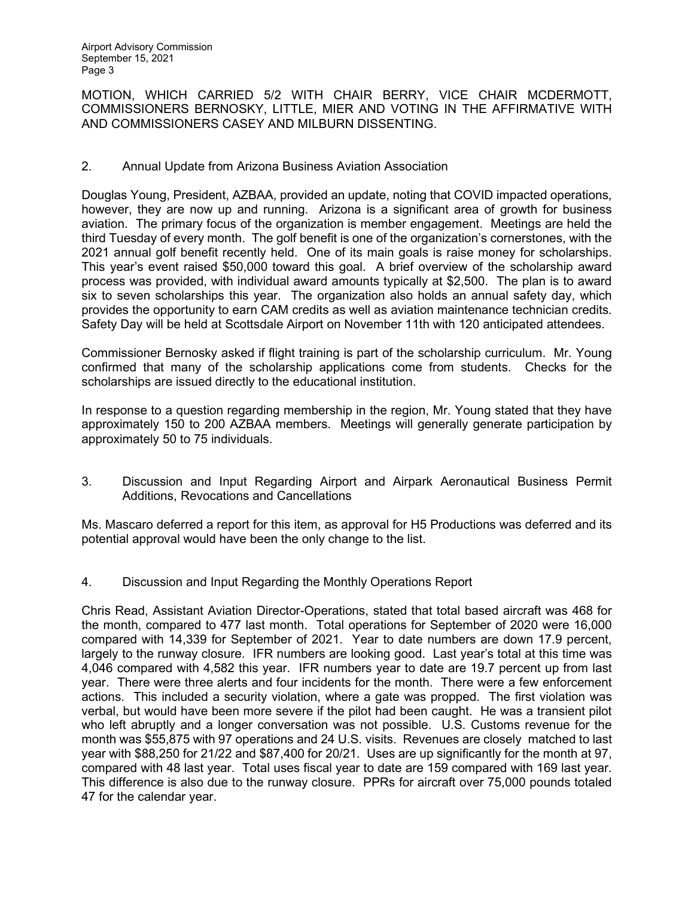Airport Advisory Commission September 15, 2021 Page 3

MOTION, WHICH CARRIED 5/2 WITH CHAIR BERRY, VICE CHAIR MCDERMOTT, COMMISSIONERS BERNOSKY, LITTLE, MIER AND VOTING IN THE AFFIRMATIVE WITH AND COMMISSIONERS CASEY AND MILBURN DISSENTING.

### 2. Annual Update from Arizona Business Aviation Association

Douglas Young, President, AZBAA, provided an update, noting that COVID impacted operations, however, they are now up and running. Arizona is a significant area of growth for business aviation. The primary focus of the organization is member engagement. Meetings are held the third Tuesday of every month. The golf benefit is one of the organization's cornerstones, with the 2021 annual golf benefit recently held. One of its main goals is raise money for scholarships. This year's event raised \$50,000 toward this goal. A brief overview of the scholarship award process was provided, with individual award amounts typically at \$2,500. The plan is to award six to seven scholarships this year. The organization also holds an annual safety day, which provides the opportunity to earn CAM credits as well as aviation maintenance technician credits. Safety Day will be held at Scottsdale Airport on November 11th with 120 anticipated attendees.

Commissioner Bernosky asked if flight training is part of the scholarship curriculum. Mr. Young confirmed that many of the scholarship applications come from students. Checks for the scholarships are issued directly to the educational institution.

In response to a question regarding membership in the region, Mr. Young stated that they have approximately 150 to 200 AZBAA members. Meetings will generally generate participation by approximately 50 to 75 individuals.

3. Discussion and Input Regarding Airport and Airpark Aeronautical Business Permit Additions, Revocations and Cancellations

Ms. Mascaro deferred a report for this item, as approval for H5 Productions was deferred and its potential approval would have been the only change to the list.

4. Discussion and Input Regarding the Monthly Operations Report

Chris Read, Assistant Aviation Director-Operations, stated that total based aircraft was 468 for the month, compared to 477 last month. Total operations for September of 2020 were 16,000 compared with 14,339 for September of 2021. Year to date numbers are down 17.9 percent, largely to the runway closure. IFR numbers are looking good. Last year's total at this time was 4,046 compared with 4,582 this year. IFR numbers year to date are 19.7 percent up from last year. There were three alerts and four incidents for the month. There were a few enforcement actions. This included a security violation, where a gate was propped. The first violation was verbal, but would have been more severe if the pilot had been caught. He was a transient pilot who left abruptly and a longer conversation was not possible. U.S. Customs revenue for the month was \$55,875 with 97 operations and 24 U.S. visits. Revenues are closely matched to last year with \$88,250 for 21/22 and \$87,400 for 20/21. Uses are up significantly for the month at 97, compared with 48 last year. Total uses fiscal year to date are 159 compared with 169 last year. This difference is also due to the runway closure. PPRs for aircraft over 75,000 pounds totaled 47 for the calendar year.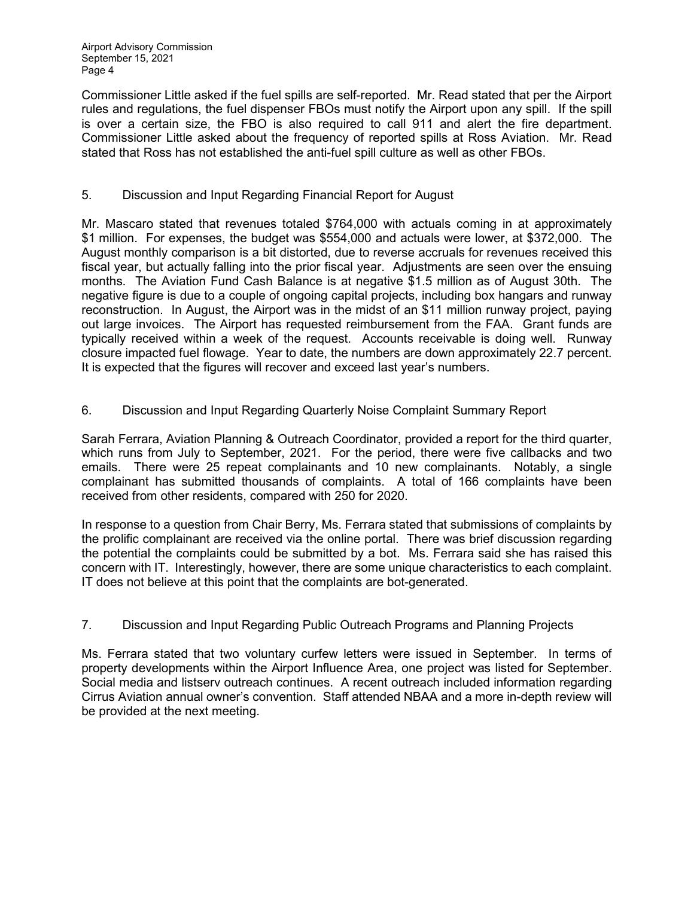Airport Advisory Commission September 15, 2021 Page 4

Commissioner Little asked if the fuel spills are self-reported. Mr. Read stated that per the Airport rules and regulations, the fuel dispenser FBOs must notify the Airport upon any spill. If the spill is over a certain size, the FBO is also required to call 911 and alert the fire department. Commissioner Little asked about the frequency of reported spills at Ross Aviation. Mr. Read stated that Ross has not established the anti-fuel spill culture as well as other FBOs.

## 5. Discussion and Input Regarding Financial Report for August

Mr. Mascaro stated that revenues totaled \$764,000 with actuals coming in at approximately \$1 million. For expenses, the budget was \$554,000 and actuals were lower, at \$372,000. The August monthly comparison is a bit distorted, due to reverse accruals for revenues received this fiscal year, but actually falling into the prior fiscal year. Adjustments are seen over the ensuing months. The Aviation Fund Cash Balance is at negative \$1.5 million as of August 30th. The negative figure is due to a couple of ongoing capital projects, including box hangars and runway reconstruction. In August, the Airport was in the midst of an \$11 million runway project, paying out large invoices. The Airport has requested reimbursement from the FAA. Grant funds are typically received within a week of the request. Accounts receivable is doing well. Runway closure impacted fuel flowage. Year to date, the numbers are down approximately 22.7 percent. It is expected that the figures will recover and exceed last year's numbers.

# 6. Discussion and Input Regarding Quarterly Noise Complaint Summary Report

Sarah Ferrara, Aviation Planning & Outreach Coordinator, provided a report for the third quarter, which runs from July to September, 2021. For the period, there were five callbacks and two emails. There were 25 repeat complainants and 10 new complainants. Notably, a single complainant has submitted thousands of complaints. A total of 166 complaints have been received from other residents, compared with 250 for 2020.

In response to a question from Chair Berry, Ms. Ferrara stated that submissions of complaints by the prolific complainant are received via the online portal. There was brief discussion regarding the potential the complaints could be submitted by a bot. Ms. Ferrara said she has raised this concern with IT. Interestingly, however, there are some unique characteristics to each complaint. IT does not believe at this point that the complaints are bot-generated.

## 7. Discussion and Input Regarding Public Outreach Programs and Planning Projects

Ms. Ferrara stated that two voluntary curfew letters were issued in September. In terms of property developments within the Airport Influence Area, one project was listed for September. Social media and listserv outreach continues. A recent outreach included information regarding Cirrus Aviation annual owner's convention. Staff attended NBAA and a more in-depth review will be provided at the next meeting.